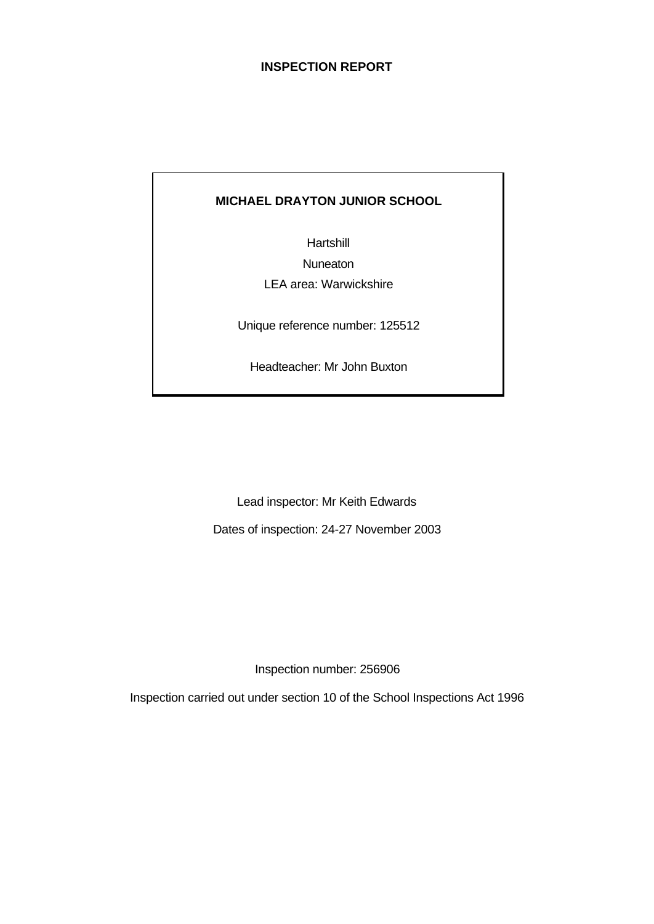### **INSPECTION REPORT**

# **MICHAEL DRAYTON JUNIOR SCHOOL**

Hartshill **Nuneaton** LEA area: Warwickshire

Unique reference number: 125512

Headteacher: Mr John Buxton

Lead inspector: Mr Keith Edwards

Dates of inspection: 24-27 November 2003

Inspection number: 256906

Inspection carried out under section 10 of the School Inspections Act 1996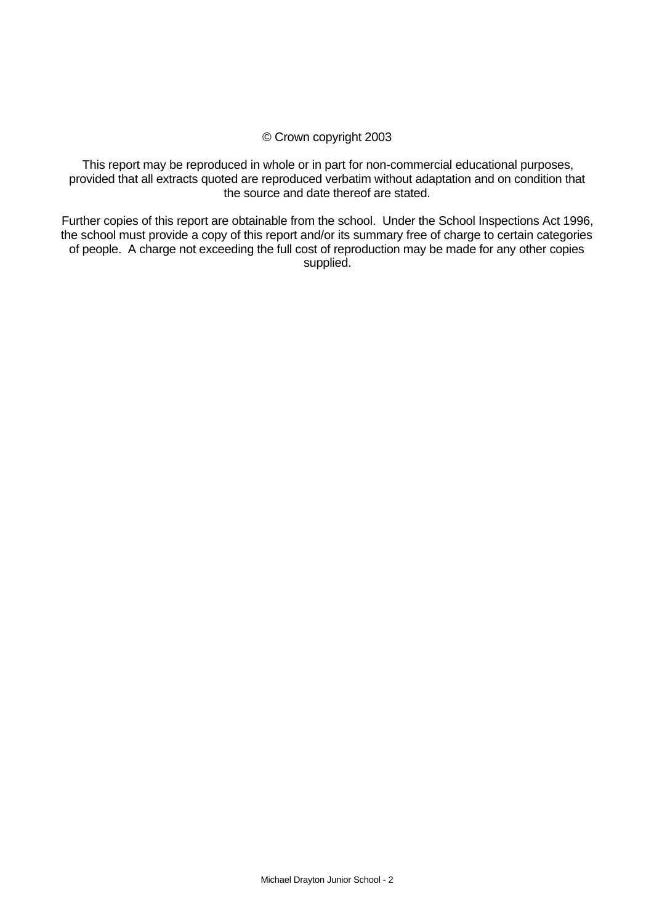### © Crown copyright 2003

This report may be reproduced in whole or in part for non-commercial educational purposes, provided that all extracts quoted are reproduced verbatim without adaptation and on condition that the source and date thereof are stated.

Further copies of this report are obtainable from the school. Under the School Inspections Act 1996, the school must provide a copy of this report and/or its summary free of charge to certain categories of people. A charge not exceeding the full cost of reproduction may be made for any other copies supplied.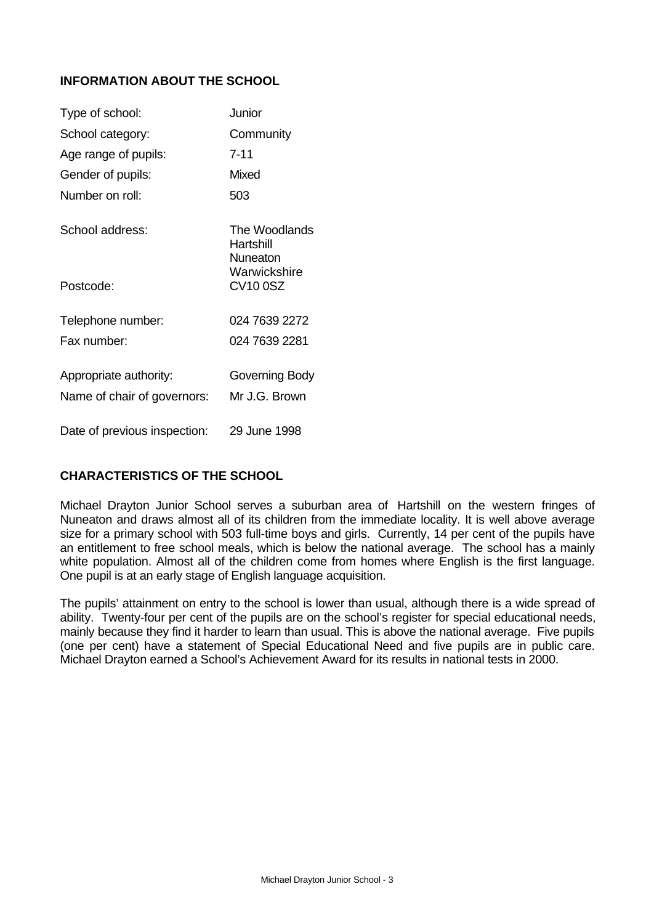# **INFORMATION ABOUT THE SCHOOL**

| Type of school:              | Junior                                 |
|------------------------------|----------------------------------------|
| School category:             | Community                              |
| Age range of pupils:         | 7-11                                   |
| Gender of pupils:            | Mixed                                  |
| Number on roll:              | 503                                    |
| School address:              | The Woodlands<br>Hartshill<br>Nuneaton |
| Postcode:                    | Warwickshire<br><b>CV100SZ</b>         |
| Telephone number:            | 024 7639 2272                          |
| Fax number:                  | 024 7639 2281                          |
| Appropriate authority:       | Governing Body                         |
| Name of chair of governors:  | Mr J.G. Brown                          |
| Date of previous inspection: | 29 June 1998                           |

## **CHARACTERISTICS OF THE SCHOOL**

Michael Drayton Junior School serves a suburban area of Hartshill on the western fringes of Nuneaton and draws almost all of its children from the immediate locality. It is well above average size for a primary school with 503 full-time boys and girls. Currently, 14 per cent of the pupils have an entitlement to free school meals, which is below the national average. The school has a mainly white population. Almost all of the children come from homes where English is the first language. One pupil is at an early stage of English language acquisition.

The pupils' attainment on entry to the school is lower than usual, although there is a wide spread of ability. Twenty-four per cent of the pupils are on the school's register for special educational needs, mainly because they find it harder to learn than usual. This is above the national average. Five pupils (one per cent) have a statement of Special Educational Need and five pupils are in public care. Michael Drayton earned a School's Achievement Award for its results in national tests in 2000.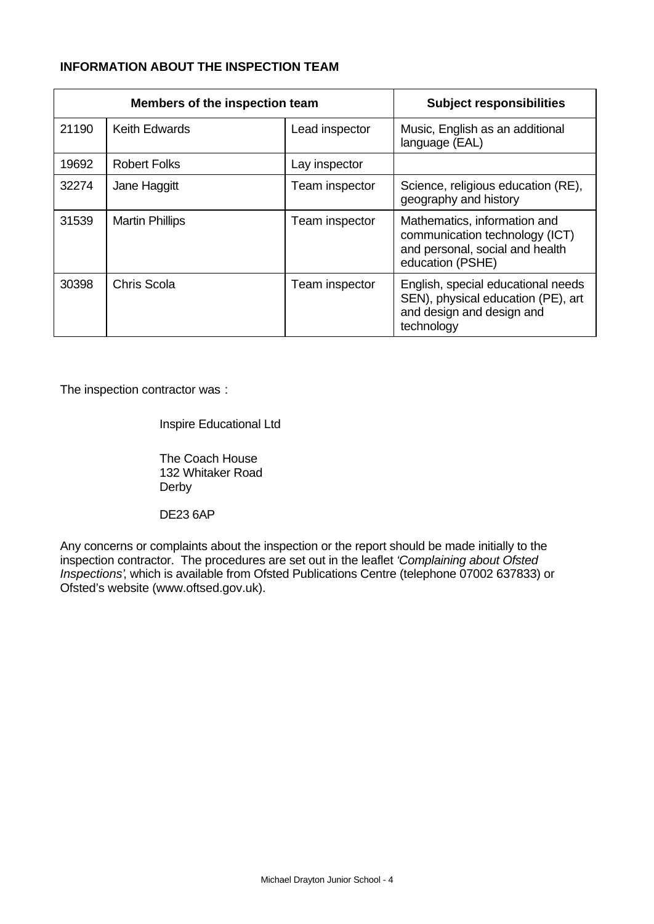# **INFORMATION ABOUT THE INSPECTION TEAM**

|       | Members of the inspection team |                | <b>Subject responsibilities</b>                                                                                       |
|-------|--------------------------------|----------------|-----------------------------------------------------------------------------------------------------------------------|
| 21190 | <b>Keith Edwards</b>           | Lead inspector | Music, English as an additional<br>language (EAL)                                                                     |
| 19692 | <b>Robert Folks</b>            | Lay inspector  |                                                                                                                       |
| 32274 | Jane Haggitt                   | Team inspector | Science, religious education (RE),<br>geography and history                                                           |
| 31539 | <b>Martin Phillips</b>         | Team inspector | Mathematics, information and<br>communication technology (ICT)<br>and personal, social and health<br>education (PSHE) |
| 30398 | Chris Scola                    | Team inspector | English, special educational needs<br>SEN), physical education (PE), art<br>and design and design and<br>technology   |

The inspection contractor was :

Inspire Educational Ltd

The Coach House 132 Whitaker Road Derby

DE23 6AP

Any concerns or complaints about the inspection or the report should be made initially to the inspection contractor. The procedures are set out in the leaflet *'Complaining about Ofsted Inspections'*, which is available from Ofsted Publications Centre (telephone 07002 637833) or Ofsted's website (www.oftsed.gov.uk).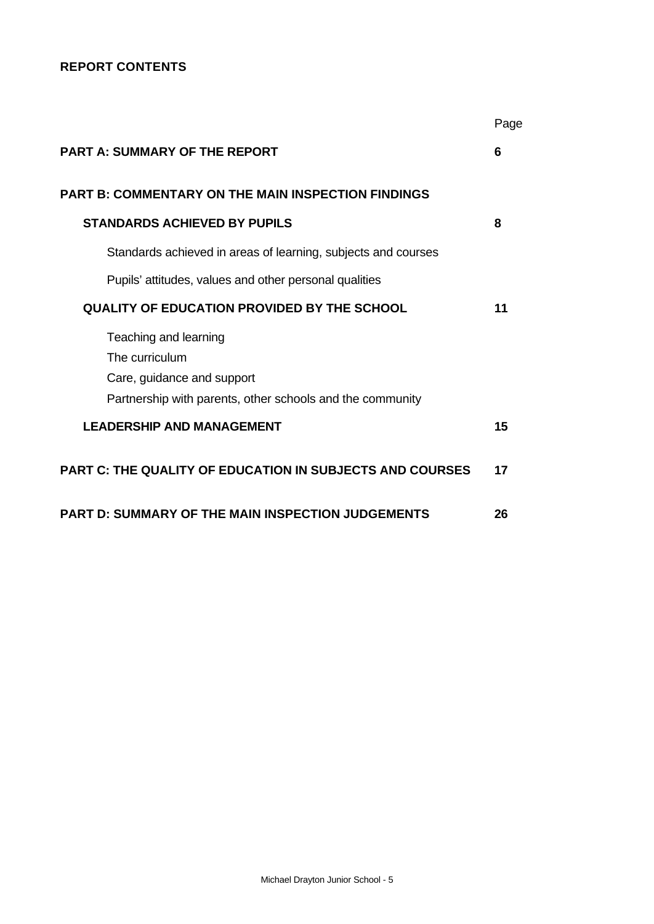# **REPORT CONTENTS**

|                                                                                                                                    | Page |
|------------------------------------------------------------------------------------------------------------------------------------|------|
| <b>PART A: SUMMARY OF THE REPORT</b>                                                                                               | 6    |
| <b>PART B: COMMENTARY ON THE MAIN INSPECTION FINDINGS</b>                                                                          |      |
| <b>STANDARDS ACHIEVED BY PUPILS</b>                                                                                                | 8    |
| Standards achieved in areas of learning, subjects and courses                                                                      |      |
| Pupils' attitudes, values and other personal qualities                                                                             |      |
| <b>QUALITY OF EDUCATION PROVIDED BY THE SCHOOL</b>                                                                                 | 11   |
| Teaching and learning<br>The curriculum<br>Care, guidance and support<br>Partnership with parents, other schools and the community |      |
| <b>LEADERSHIP AND MANAGEMENT</b>                                                                                                   | 15   |
| <b>PART C: THE QUALITY OF EDUCATION IN SUBJECTS AND COURSES</b>                                                                    | 17   |
| <b>PART D: SUMMARY OF THE MAIN INSPECTION JUDGEMENTS</b>                                                                           | 26   |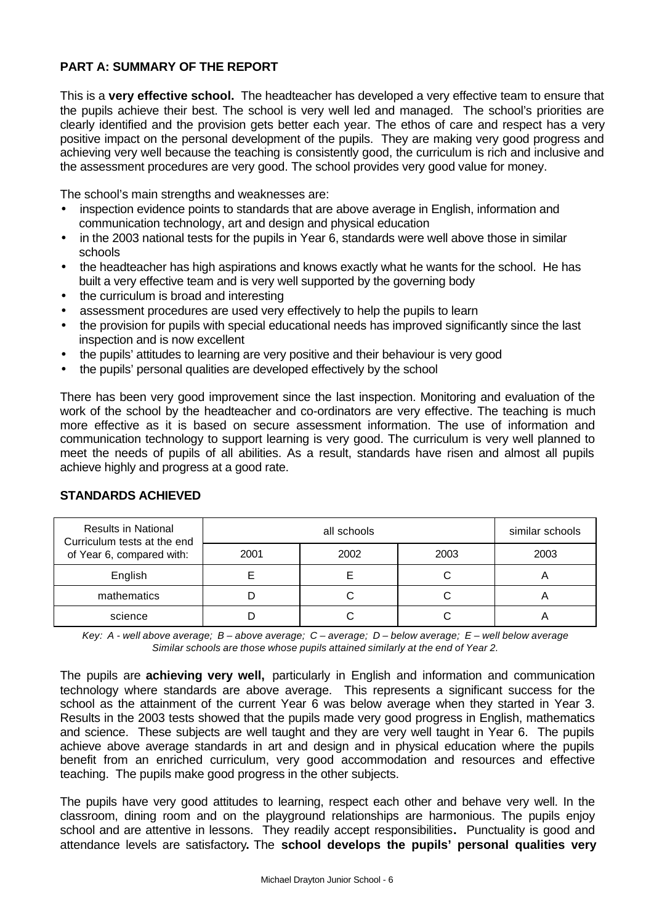## **PART A: SUMMARY OF THE REPORT**

This is a **very effective school.** The headteacher has developed a very effective team to ensure that the pupils achieve their best. The school is very well led and managed. The school's priorities are clearly identified and the provision gets better each year. The ethos of care and respect has a very positive impact on the personal development of the pupils. They are making very good progress and achieving very well because the teaching is consistently good, the curriculum is rich and inclusive and the assessment procedures are very good. The school provides very good value for money.

The school's main strengths and weaknesses are:

- inspection evidence points to standards that are above average in English, information and communication technology, art and design and physical education
- in the 2003 national tests for the pupils in Year 6, standards were well above those in similar schools
- the headteacher has high aspirations and knows exactly what he wants for the school. He has built a very effective team and is very well supported by the governing body
- the curriculum is broad and interesting
- assessment procedures are used very effectively to help the pupils to learn
- the provision for pupils with special educational needs has improved significantly since the last inspection and is now excellent
- the pupils' attitudes to learning are very positive and their behaviour is very good
- the pupils' personal qualities are developed effectively by the school

There has been very good improvement since the last inspection. Monitoring and evaluation of the work of the school by the headteacher and co-ordinators are very effective. The teaching is much more effective as it is based on secure assessment information. The use of information and communication technology to support learning is very good. The curriculum is very well planned to meet the needs of pupils of all abilities. As a result, standards have risen and almost all pupils achieve highly and progress at a good rate.

| <b>Results in National</b><br>Curriculum tests at the end |      | similar schools |      |      |
|-----------------------------------------------------------|------|-----------------|------|------|
| of Year 6, compared with:                                 | 2001 | 2002            | 2003 | 2003 |
| English                                                   |      |                 |      |      |
| mathematics                                               |      |                 |      |      |
| science                                                   |      |                 |      |      |

### **STANDARDS ACHIEVED**

*Key: A - well above average; B – above average; C – average; D – below average; E – well below average Similar schools are those whose pupils attained similarly at the end of Year 2.*

The pupils are **achieving very well,** particularly in English and information and communication technology where standards are above average. This represents a significant success for the school as the attainment of the current Year 6 was below average when they started in Year 3. Results in the 2003 tests showed that the pupils made very good progress in English, mathematics and science. These subjects are well taught and they are very well taught in Year 6. The pupils achieve above average standards in art and design and in physical education where the pupils benefit from an enriched curriculum, very good accommodation and resources and effective teaching. The pupils make good progress in the other subjects.

The pupils have very good attitudes to learning, respect each other and behave very well. In the classroom, dining room and on the playground relationships are harmonious. The pupils enjoy school and are attentive in lessons.They readily accept responsibilities**.** Punctuality is good and attendance levels are satisfactory**.** The **school develops the pupils' personal qualities very**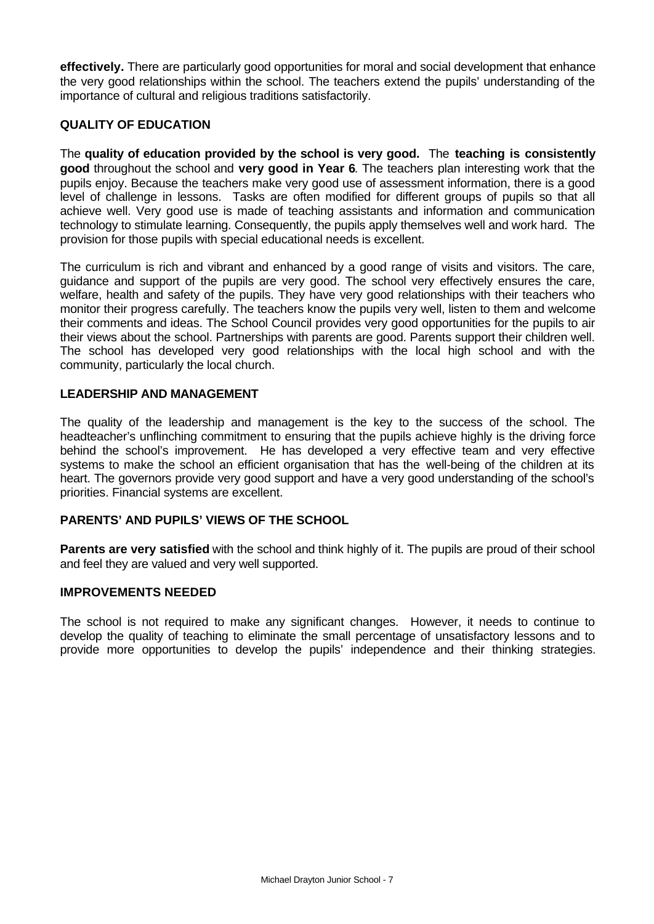**effectively.** There are particularly good opportunities for moral and social development that enhance the very good relationships within the school. The teachers extend the pupils' understanding of the importance of cultural and religious traditions satisfactorily.

### **QUALITY OF EDUCATION**

The **quality of education provided by the school is very good.** The **teaching is consistently good** throughout the school and **very good in Year 6**. The teachers plan interesting work that the pupils enjoy. Because the teachers make very good use of assessment information, there is a good level of challenge in lessons. Tasks are often modified for different groups of pupils so that all achieve well. Very good use is made of teaching assistants and information and communication technology to stimulate learning. Consequently, the pupils apply themselves well and work hard. The provision for those pupils with special educational needs is excellent.

The curriculum is rich and vibrant and enhanced by a good range of visits and visitors. The care, guidance and support of the pupils are very good. The school very effectively ensures the care, welfare, health and safety of the pupils. They have very good relationships with their teachers who monitor their progress carefully. The teachers know the pupils very well, listen to them and welcome their comments and ideas. The School Council provides very good opportunities for the pupils to air their views about the school. Partnerships with parents are good. Parents support their children well. The school has developed very good relationships with the local high school and with the community, particularly the local church.

### **LEADERSHIP AND MANAGEMENT**

The quality of the leadership and management is the key to the success of the school. The headteacher's unflinching commitment to ensuring that the pupils achieve highly is the driving force behind the school's improvement. He has developed a very effective team and very effective systems to make the school an efficient organisation that has the well-being of the children at its heart. The governors provide very good support and have a very good understanding of the school's priorities. Financial systems are excellent.

### **PARENTS' AND PUPILS' VIEWS OF THE SCHOOL**

**Parents are very satisfied** with the school and think highly of it. The pupils are proud of their school and feel they are valued and very well supported.

### **IMPROVEMENTS NEEDED**

The school is not required to make any significant changes. However, it needs to continue to develop the quality of teaching to eliminate the small percentage of unsatisfactory lessons and to provide more opportunities to develop the pupils' independence and their thinking strategies.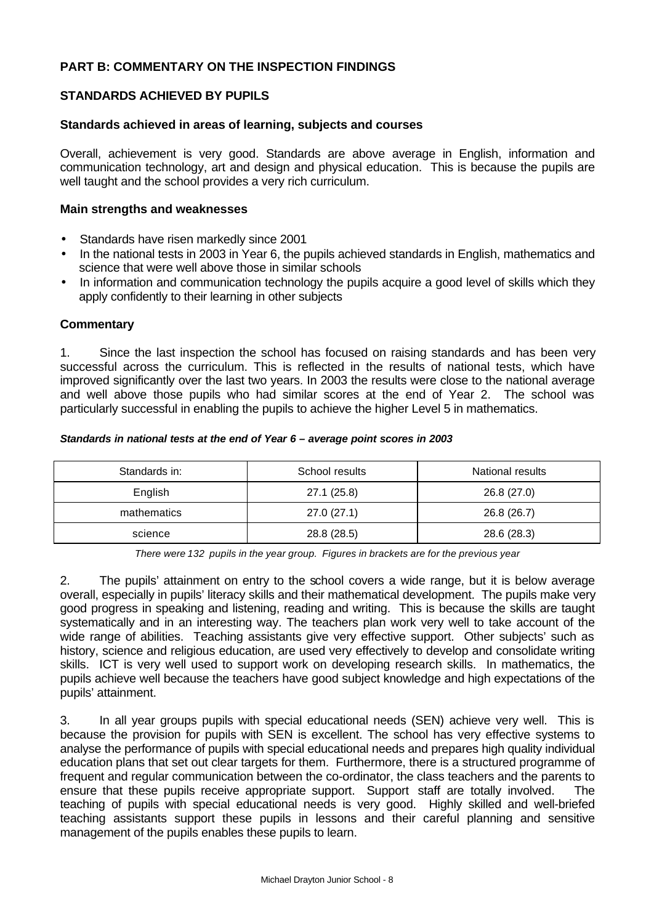### **PART B: COMMENTARY ON THE INSPECTION FINDINGS**

### **STANDARDS ACHIEVED BY PUPILS**

#### **Standards achieved in areas of learning, subjects and courses**

Overall, achievement is very good. Standards are above average in English, information and communication technology, art and design and physical education. This is because the pupils are well taught and the school provides a very rich curriculum.

#### **Main strengths and weaknesses**

- Standards have risen markedly since 2001
- In the national tests in 2003 in Year 6, the pupils achieved standards in English, mathematics and science that were well above those in similar schools
- In information and communication technology the pupils acquire a good level of skills which they apply confidently to their learning in other subjects

#### **Commentary**

1. Since the last inspection the school has focused on raising standards and has been very successful across the curriculum. This is reflected in the results of national tests, which have improved significantly over the last two years. In 2003 the results were close to the national average and well above those pupils who had similar scores at the end of Year 2. The school was particularly successful in enabling the pupils to achieve the higher Level 5 in mathematics.

#### *Standards in national tests at the end of Year 6 – average point scores in 2003*

| Standards in: | School results | National results |
|---------------|----------------|------------------|
| English       | 27.1 (25.8)    | 26.8 (27.0)      |
| mathematics   | 27.0(27.1)     | 26.8 (26.7)      |
| science       | 28.8 (28.5)    | 28.6 (28.3)      |

*There were 132 pupils in the year group. Figures in brackets are for the previous year*

2. The pupils' attainment on entry to the school covers a wide range, but it is below average overall, especially in pupils' literacy skills and their mathematical development. The pupils make very good progress in speaking and listening, reading and writing. This is because the skills are taught systematically and in an interesting way. The teachers plan work very well to take account of the wide range of abilities. Teaching assistants give very effective support. Other subjects' such as history, science and religious education, are used very effectively to develop and consolidate writing skills. ICT is very well used to support work on developing research skills. In mathematics, the pupils achieve well because the teachers have good subject knowledge and high expectations of the pupils' attainment.

3. In all year groups pupils with special educational needs (SEN) achieve very well. This is because the provision for pupils with SEN is excellent. The school has very effective systems to analyse the performance of pupils with special educational needs and prepares high quality individual education plans that set out clear targets for them. Furthermore, there is a structured programme of frequent and regular communication between the co-ordinator, the class teachers and the parents to ensure that these pupils receive appropriate support. Support staff are totally involved. The teaching of pupils with special educational needs is very good. Highly skilled and well-briefed teaching assistants support these pupils in lessons and their careful planning and sensitive management of the pupils enables these pupils to learn.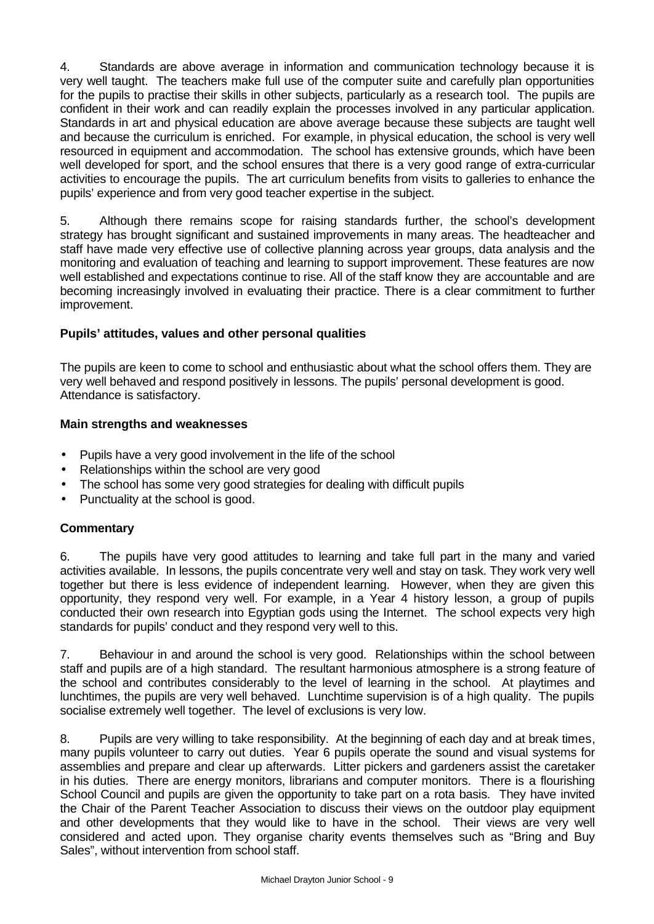4. Standards are above average in information and communication technology because it is very well taught. The teachers make full use of the computer suite and carefully plan opportunities for the pupils to practise their skills in other subjects, particularly as a research tool. The pupils are confident in their work and can readily explain the processes involved in any particular application. Standards in art and physical education are above average because these subjects are taught well and because the curriculum is enriched. For example, in physical education, the school is very well resourced in equipment and accommodation. The school has extensive grounds, which have been well developed for sport, and the school ensures that there is a very good range of extra-curricular activities to encourage the pupils. The art curriculum benefits from visits to galleries to enhance the pupils' experience and from very good teacher expertise in the subject.

5. Although there remains scope for raising standards further, the school's development strategy has brought significant and sustained improvements in many areas. The headteacher and staff have made very effective use of collective planning across year groups, data analysis and the monitoring and evaluation of teaching and learning to support improvement. These features are now well established and expectations continue to rise. All of the staff know they are accountable and are becoming increasingly involved in evaluating their practice. There is a clear commitment to further improvement.

## **Pupils' attitudes, values and other personal qualities**

The pupils are keen to come to school and enthusiastic about what the school offers them. They are very well behaved and respond positively in lessons. The pupils' personal development is good. Attendance is satisfactory.

### **Main strengths and weaknesses**

- Pupils have a very good involvement in the life of the school
- Relationships within the school are very good
- The school has some very good strategies for dealing with difficult pupils
- Punctuality at the school is good.

## **Commentary**

6. The pupils have very good attitudes to learning and take full part in the many and varied activities available. In lessons, the pupils concentrate very well and stay on task. They work very well together but there is less evidence of independent learning. However, when they are given this opportunity, they respond very well. For example, in a Year 4 history lesson, a group of pupils conducted their own research into Egyptian gods using the Internet. The school expects very high standards for pupils' conduct and they respond very well to this.

7. Behaviour in and around the school is very good. Relationships within the school between staff and pupils are of a high standard. The resultant harmonious atmosphere is a strong feature of the school and contributes considerably to the level of learning in the school. At playtimes and lunchtimes, the pupils are very well behaved. Lunchtime supervision is of a high quality. The pupils socialise extremely well together. The level of exclusions is very low.

8. Pupils are very willing to take responsibility. At the beginning of each day and at break times, many pupils volunteer to carry out duties. Year 6 pupils operate the sound and visual systems for assemblies and prepare and clear up afterwards. Litter pickers and gardeners assist the caretaker in his duties. There are energy monitors, librarians and computer monitors. There is a flourishing School Council and pupils are given the opportunity to take part on a rota basis. They have invited the Chair of the Parent Teacher Association to discuss their views on the outdoor play equipment and other developments that they would like to have in the school. Their views are very well considered and acted upon. They organise charity events themselves such as "Bring and Buy Sales", without intervention from school staff.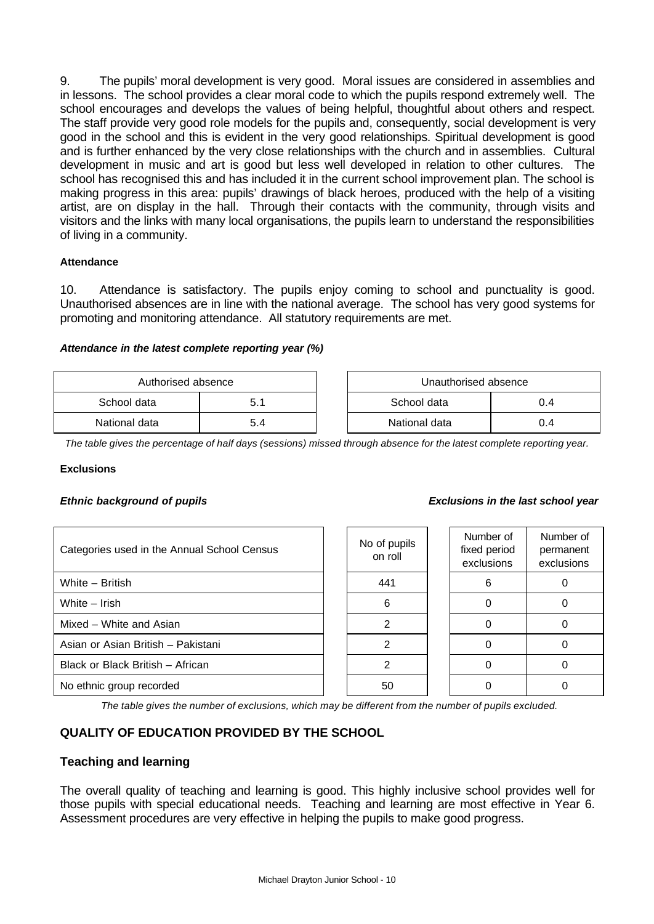9. The pupils' moral development is very good. Moral issues are considered in assemblies and in lessons. The school provides a clear moral code to which the pupils respond extremely well. The school encourages and develops the values of being helpful, thoughtful about others and respect. The staff provide very good role models for the pupils and, consequently, social development is very good in the school and this is evident in the very good relationships. Spiritual development is good and is further enhanced by the very close relationships with the church and in assemblies. Cultural development in music and art is good but less well developed in relation to other cultures. The school has recognised this and has included it in the current school improvement plan. The school is making progress in this area: pupils' drawings of black heroes, produced with the help of a visiting artist, are on display in the hall. Through their contacts with the community, through visits and visitors and the links with many local organisations, the pupils learn to understand the responsibilities of living in a community.

#### **Attendance**

10. Attendance is satisfactory. The pupils enjoy coming to school and punctuality is good. Unauthorised absences are in line with the national average. The school has very good systems for promoting and monitoring attendance. All statutory requirements are met.

#### *Attendance in the latest complete reporting year (%)*

| Authorised absence |     | Unauthorised absence |     |
|--------------------|-----|----------------------|-----|
| School data        | 5.1 | School data          | 0.4 |
| National data      | 5.4 | National data        | 0.4 |

*The table gives the percentage of half days (sessions) missed through absence for the latest complete reporting year.*

**F** 

#### **Exclusions**

#### *Ethnic background of pupils*

| Categories used in the Annual School Census | No of pupils<br>on roll | Number of<br>fixed period<br>exclusions | Numb<br>perma<br>exclus |
|---------------------------------------------|-------------------------|-----------------------------------------|-------------------------|
| White - British                             | 441                     | 6                                       | $\Omega$                |
| White - Irish                               | 6                       |                                         | $\Omega$                |
| Mixed - White and Asian                     | 2                       |                                         | $\Omega$                |
| Asian or Asian British - Pakistani          | 2                       |                                         | 0                       |
| Black or Black British - African            | $\mathfrak{p}$          |                                         | $\Omega$                |
| No ethnic group recorded                    | 50                      |                                         | 0                       |

| <b>Exclusions in the last school year</b> |
|-------------------------------------------|
|-------------------------------------------|

| lo of pupils<br>on roll | Number of<br>fixed period<br>exclusions | Number of<br>permanent<br>exclusions |
|-------------------------|-----------------------------------------|--------------------------------------|
| 441                     | 6                                       |                                      |
| 6                       |                                         |                                      |
| 2                       |                                         |                                      |
| 2                       |                                         |                                      |
| 2                       |                                         |                                      |
| 50                      |                                         |                                      |

*The table gives the number of exclusions, which may be different from the number of pupils excluded.*

# **QUALITY OF EDUCATION PROVIDED BY THE SCHOOL**

### **Teaching and learning**

The overall quality of teaching and learning is good. This highly inclusive school provides well for those pupils with special educational needs. Teaching and learning are most effective in Year 6. Assessment procedures are very effective in helping the pupils to make good progress.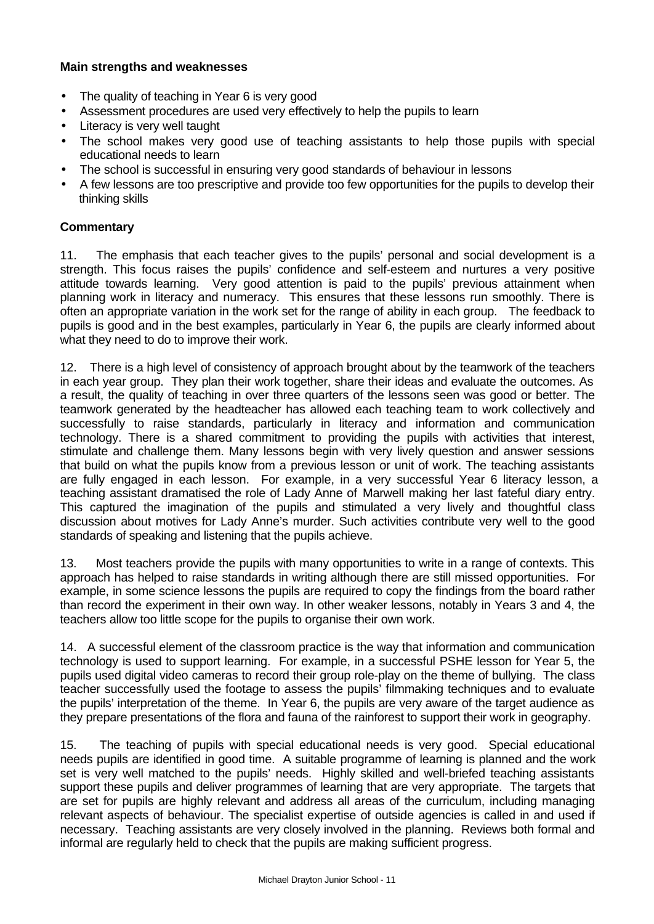### **Main strengths and weaknesses**

- The quality of teaching in Year 6 is very good
- Assessment procedures are used very effectively to help the pupils to learn
- Literacy is very well taught
- The school makes very good use of teaching assistants to help those pupils with special educational needs to learn
- The school is successful in ensuring very good standards of behaviour in lessons
- A few lessons are too prescriptive and provide too few opportunities for the pupils to develop their thinking skills

### **Commentary**

11. The emphasis that each teacher gives to the pupils' personal and social development is a strength. This focus raises the pupils' confidence and self-esteem and nurtures a very positive attitude towards learning. Very good attention is paid to the pupils' previous attainment when planning work in literacy and numeracy. This ensures that these lessons run smoothly. There is often an appropriate variation in the work set for the range of ability in each group. The feedback to pupils is good and in the best examples, particularly in Year 6, the pupils are clearly informed about what they need to do to improve their work.

12. There is a high level of consistency of approach brought about by the teamwork of the teachers in each year group. They plan their work together, share their ideas and evaluate the outcomes. As a result, the quality of teaching in over three quarters of the lessons seen was good or better. The teamwork generated by the headteacher has allowed each teaching team to work collectively and successfully to raise standards, particularly in literacy and information and communication technology. There is a shared commitment to providing the pupils with activities that interest, stimulate and challenge them. Many lessons begin with very lively question and answer sessions that build on what the pupils know from a previous lesson or unit of work. The teaching assistants are fully engaged in each lesson. For example, in a very successful Year 6 literacy lesson, a teaching assistant dramatised the role of Lady Anne of Marwell making her last fateful diary entry. This captured the imagination of the pupils and stimulated a very lively and thoughtful class discussion about motives for Lady Anne's murder. Such activities contribute very well to the good standards of speaking and listening that the pupils achieve.

13. Most teachers provide the pupils with many opportunities to write in a range of contexts. This approach has helped to raise standards in writing although there are still missed opportunities. For example, in some science lessons the pupils are required to copy the findings from the board rather than record the experiment in their own way. In other weaker lessons, notably in Years 3 and 4, the teachers allow too little scope for the pupils to organise their own work.

14. A successful element of the classroom practice is the way that information and communication technology is used to support learning. For example, in a successful PSHE lesson for Year 5, the pupils used digital video cameras to record their group role-play on the theme of bullying. The class teacher successfully used the footage to assess the pupils' filmmaking techniques and to evaluate the pupils' interpretation of the theme. In Year 6, the pupils are very aware of the target audience as they prepare presentations of the flora and fauna of the rainforest to support their work in geography.

15. The teaching of pupils with special educational needs is very good. Special educational needs pupils are identified in good time. A suitable programme of learning is planned and the work set is very well matched to the pupils' needs. Highly skilled and well-briefed teaching assistants support these pupils and deliver programmes of learning that are very appropriate. The targets that are set for pupils are highly relevant and address all areas of the curriculum, including managing relevant aspects of behaviour. The specialist expertise of outside agencies is called in and used if necessary. Teaching assistants are very closely involved in the planning. Reviews both formal and informal are regularly held to check that the pupils are making sufficient progress.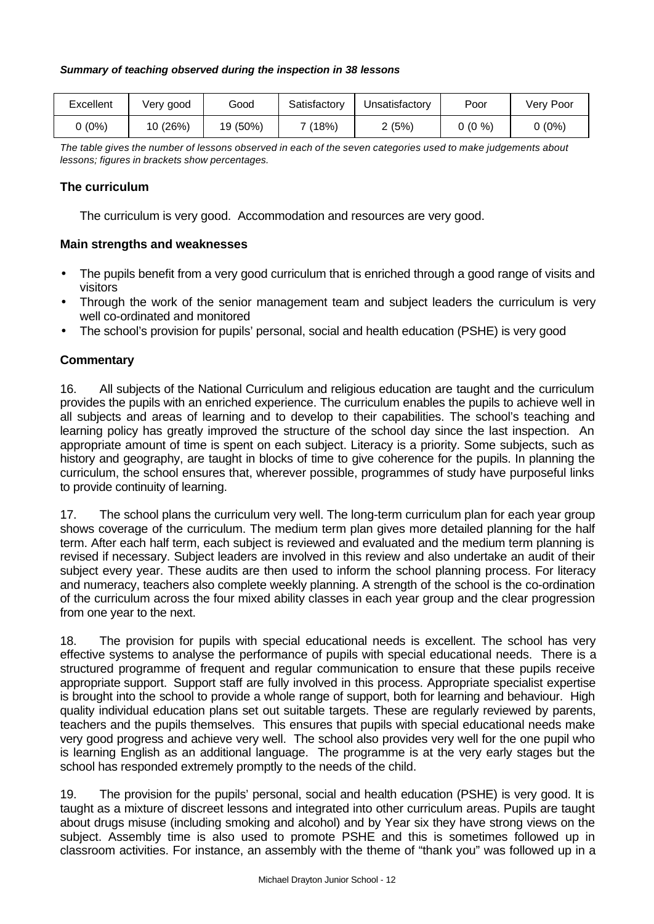#### *Summary of teaching observed during the inspection in 38 lessons*

| Excellent | Very good | Good     | Satisfactory | Jnsatisfactory | Poor     | Verv Poor |
|-----------|-----------|----------|--------------|----------------|----------|-----------|
| (0%)      | 10 (26%)  | 19 (50%) | (18%)        | 2(5%)          | $0(0\%)$ | (0%)      |

*The table gives the number of lessons observed in each of the seven categories used to make judgements about lessons; figures in brackets show percentages.*

### **The curriculum**

The curriculum is very good. Accommodation and resources are very good.

### **Main strengths and weaknesses**

- The pupils benefit from a very good curriculum that is enriched through a good range of visits and visitors
- Through the work of the senior management team and subject leaders the curriculum is very well co-ordinated and monitored
- The school's provision for pupils' personal, social and health education (PSHE) is very good

## **Commentary**

16. All subjects of the National Curriculum and religious education are taught and the curriculum provides the pupils with an enriched experience. The curriculum enables the pupils to achieve well in all subjects and areas of learning and to develop to their capabilities. The school's teaching and learning policy has greatly improved the structure of the school day since the last inspection. An appropriate amount of time is spent on each subject. Literacy is a priority. Some subjects, such as history and geography, are taught in blocks of time to give coherence for the pupils. In planning the curriculum, the school ensures that, wherever possible, programmes of study have purposeful links to provide continuity of learning.

17. The school plans the curriculum very well. The long-term curriculum plan for each year group shows coverage of the curriculum. The medium term plan gives more detailed planning for the half term. After each half term, each subject is reviewed and evaluated and the medium term planning is revised if necessary. Subject leaders are involved in this review and also undertake an audit of their subject every year. These audits are then used to inform the school planning process. For literacy and numeracy, teachers also complete weekly planning. A strength of the school is the co-ordination of the curriculum across the four mixed ability classes in each year group and the clear progression from one year to the next.

18. The provision for pupils with special educational needs is excellent. The school has very effective systems to analyse the performance of pupils with special educational needs. There is a structured programme of frequent and regular communication to ensure that these pupils receive appropriate support. Support staff are fully involved in this process. Appropriate specialist expertise is brought into the school to provide a whole range of support, both for learning and behaviour. High quality individual education plans set out suitable targets. These are regularly reviewed by parents, teachers and the pupils themselves. This ensures that pupils with special educational needs make very good progress and achieve very well. The school also provides very well for the one pupil who is learning English as an additional language. The programme is at the very early stages but the school has responded extremely promptly to the needs of the child.

19. The provision for the pupils' personal, social and health education (PSHE) is very good. It is taught as a mixture of discreet lessons and integrated into other curriculum areas. Pupils are taught about drugs misuse (including smoking and alcohol) and by Year six they have strong views on the subject. Assembly time is also used to promote PSHE and this is sometimes followed up in classroom activities. For instance, an assembly with the theme of "thank you" was followed up in a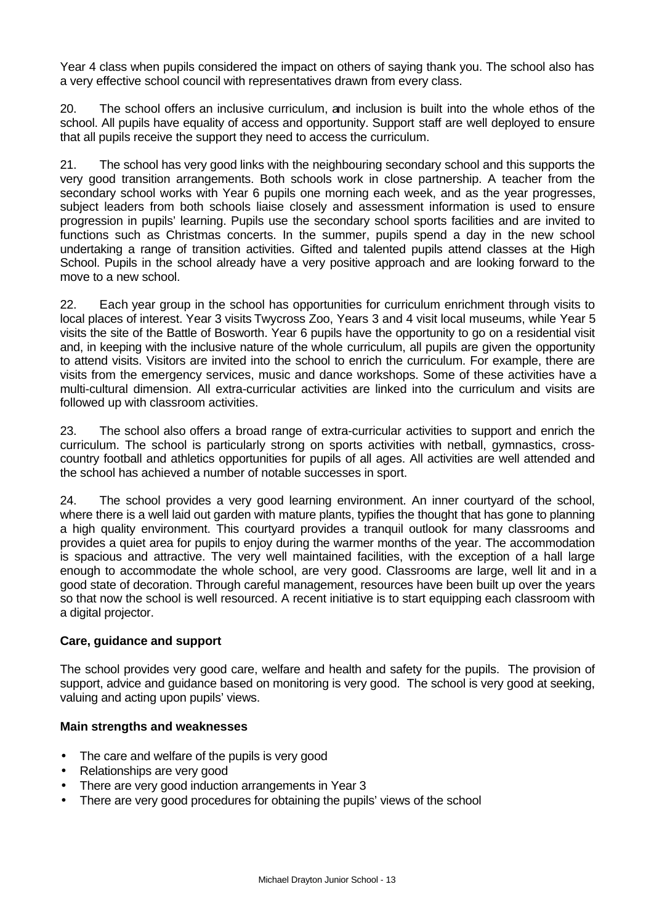Year 4 class when pupils considered the impact on others of saying thank you. The school also has a very effective school council with representatives drawn from every class.

20. The school offers an inclusive curriculum, and inclusion is built into the whole ethos of the school. All pupils have equality of access and opportunity. Support staff are well deployed to ensure that all pupils receive the support they need to access the curriculum.

21. The school has very good links with the neighbouring secondary school and this supports the very good transition arrangements. Both schools work in close partnership. A teacher from the secondary school works with Year 6 pupils one morning each week, and as the year progresses, subject leaders from both schools liaise closely and assessment information is used to ensure progression in pupils' learning. Pupils use the secondary school sports facilities and are invited to functions such as Christmas concerts. In the summer, pupils spend a day in the new school undertaking a range of transition activities. Gifted and talented pupils attend classes at the High School. Pupils in the school already have a very positive approach and are looking forward to the move to a new school.

22. Each year group in the school has opportunities for curriculum enrichment through visits to local places of interest. Year 3 visits Twycross Zoo, Years 3 and 4 visit local museums, while Year 5 visits the site of the Battle of Bosworth. Year 6 pupils have the opportunity to go on a residential visit and, in keeping with the inclusive nature of the whole curriculum, all pupils are given the opportunity to attend visits. Visitors are invited into the school to enrich the curriculum. For example, there are visits from the emergency services, music and dance workshops. Some of these activities have a multi-cultural dimension. All extra-curricular activities are linked into the curriculum and visits are followed up with classroom activities.

23. The school also offers a broad range of extra-curricular activities to support and enrich the curriculum. The school is particularly strong on sports activities with netball, gymnastics, crosscountry football and athletics opportunities for pupils of all ages. All activities are well attended and the school has achieved a number of notable successes in sport.

24. The school provides a very good learning environment. An inner courtyard of the school, where there is a well laid out garden with mature plants, typifies the thought that has gone to planning a high quality environment. This courtyard provides a tranquil outlook for many classrooms and provides a quiet area for pupils to enjoy during the warmer months of the year. The accommodation is spacious and attractive. The very well maintained facilities, with the exception of a hall large enough to accommodate the whole school, are very good. Classrooms are large, well lit and in a good state of decoration. Through careful management, resources have been built up over the years so that now the school is well resourced. A recent initiative is to start equipping each classroom with a digital projector.

### **Care, guidance and support**

The school provides very good care, welfare and health and safety for the pupils. The provision of support, advice and guidance based on monitoring is very good. The school is very good at seeking, valuing and acting upon pupils' views.

### **Main strengths and weaknesses**

- The care and welfare of the pupils is very good
- Relationships are very good
- There are very good induction arrangements in Year 3
- There are very good procedures for obtaining the pupils' views of the school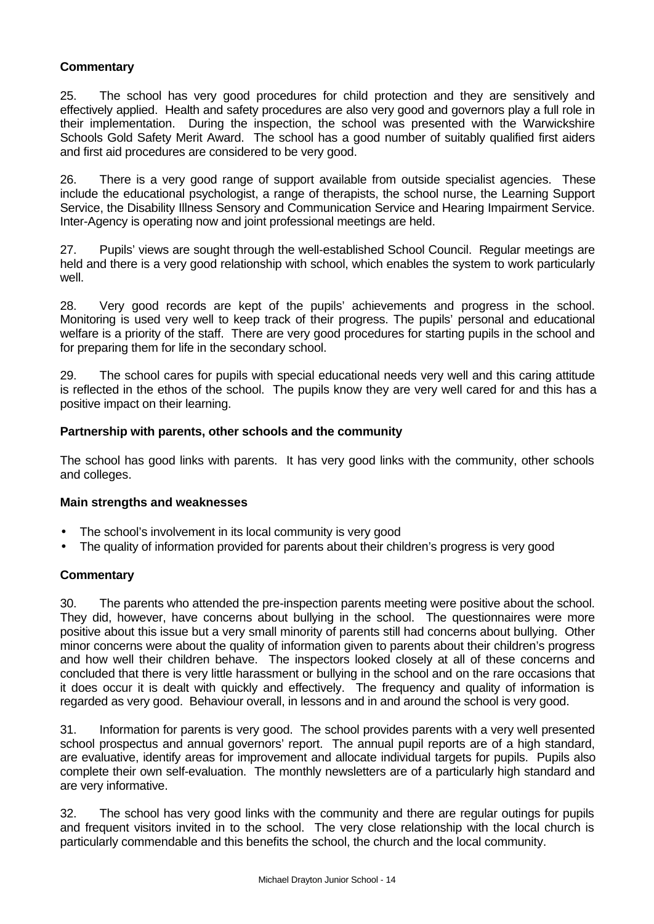## **Commentary**

25. The school has very good procedures for child protection and they are sensitively and effectively applied. Health and safety procedures are also very good and governors play a full role in their implementation. During the inspection, the school was presented with the Warwickshire Schools Gold Safety Merit Award. The school has a good number of suitably qualified first aiders and first aid procedures are considered to be very good.

26. There is a very good range of support available from outside specialist agencies. These include the educational psychologist, a range of therapists, the school nurse, the Learning Support Service, the Disability Illness Sensory and Communication Service and Hearing Impairment Service. Inter-Agency is operating now and joint professional meetings are held.

27. Pupils' views are sought through the well-established School Council. Regular meetings are held and there is a very good relationship with school, which enables the system to work particularly well.

28. Very good records are kept of the pupils' achievements and progress in the school. Monitoring is used very well to keep track of their progress. The pupils' personal and educational welfare is a priority of the staff. There are very good procedures for starting pupils in the school and for preparing them for life in the secondary school.

29. The school cares for pupils with special educational needs very well and this caring attitude is reflected in the ethos of the school. The pupils know they are very well cared for and this has a positive impact on their learning.

### **Partnership with parents, other schools and the community**

The school has good links with parents. It has very good links with the community, other schools and colleges.

### **Main strengths and weaknesses**

- The school's involvement in its local community is very good
- The quality of information provided for parents about their children's progress is very good

### **Commentary**

30. The parents who attended the pre-inspection parents meeting were positive about the school. They did, however, have concerns about bullying in the school. The questionnaires were more positive about this issue but a very small minority of parents still had concerns about bullying. Other minor concerns were about the quality of information given to parents about their children's progress and how well their children behave. The inspectors looked closely at all of these concerns and concluded that there is very little harassment or bullying in the school and on the rare occasions that it does occur it is dealt with quickly and effectively. The frequency and quality of information is regarded as very good. Behaviour overall, in lessons and in and around the school is very good.

31. Information for parents is very good. The school provides parents with a very well presented school prospectus and annual governors' report. The annual pupil reports are of a high standard, are evaluative, identify areas for improvement and allocate individual targets for pupils. Pupils also complete their own self-evaluation. The monthly newsletters are of a particularly high standard and are very informative.

32. The school has very good links with the community and there are regular outings for pupils and frequent visitors invited in to the school. The very close relationship with the local church is particularly commendable and this benefits the school, the church and the local community.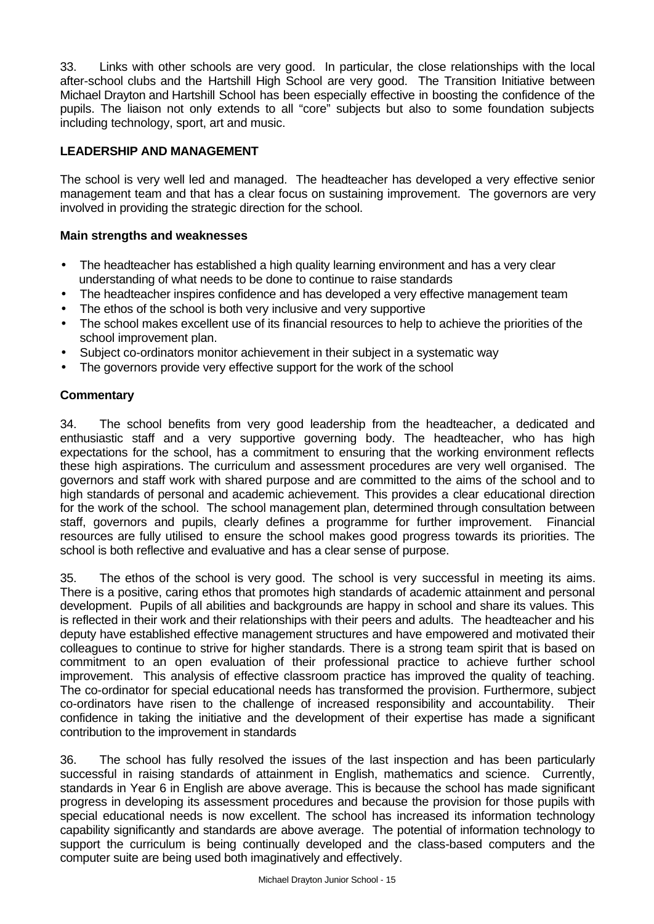33. Links with other schools are very good. In particular, the close relationships with the local after-school clubs and the Hartshill High School are very good. The Transition Initiative between Michael Drayton and Hartshill School has been especially effective in boosting the confidence of the pupils. The liaison not only extends to all "core" subjects but also to some foundation subjects including technology, sport, art and music.

## **LEADERSHIP AND MANAGEMENT**

The school is very well led and managed. The headteacher has developed a very effective senior management team and that has a clear focus on sustaining improvement. The governors are very involved in providing the strategic direction for the school.

### **Main strengths and weaknesses**

- The headteacher has established a high quality learning environment and has a very clear understanding of what needs to be done to continue to raise standards
- The headteacher inspires confidence and has developed a very effective management team
- The ethos of the school is both very inclusive and very supportive
- The school makes excellent use of its financial resources to help to achieve the priorities of the school improvement plan.
- Subject co-ordinators monitor achievement in their subject in a systematic way
- The governors provide very effective support for the work of the school

### **Commentary**

34. The school benefits from very good leadership from the headteacher, a dedicated and enthusiastic staff and a very supportive governing body. The headteacher, who has high expectations for the school, has a commitment to ensuring that the working environment reflects these high aspirations. The curriculum and assessment procedures are very well organised. The governors and staff work with shared purpose and are committed to the aims of the school and to high standards of personal and academic achievement. This provides a clear educational direction for the work of the school. The school management plan, determined through consultation between staff, governors and pupils, clearly defines a programme for further improvement. Financial resources are fully utilised to ensure the school makes good progress towards its priorities. The school is both reflective and evaluative and has a clear sense of purpose.

35. The ethos of the school is very good. The school is very successful in meeting its aims. There is a positive, caring ethos that promotes high standards of academic attainment and personal development. Pupils of all abilities and backgrounds are happy in school and share its values. This is reflected in their work and their relationships with their peers and adults. The headteacher and his deputy have established effective management structures and have empowered and motivated their colleagues to continue to strive for higher standards. There is a strong team spirit that is based on commitment to an open evaluation of their professional practice to achieve further school improvement. This analysis of effective classroom practice has improved the quality of teaching. The co-ordinator for special educational needs has transformed the provision. Furthermore, subject co-ordinators have risen to the challenge of increased responsibility and accountability. Their confidence in taking the initiative and the development of their expertise has made a significant contribution to the improvement in standards

36. The school has fully resolved the issues of the last inspection and has been particularly successful in raising standards of attainment in English, mathematics and science. Currently, standards in Year 6 in English are above average. This is because the school has made significant progress in developing its assessment procedures and because the provision for those pupils with special educational needs is now excellent. The school has increased its information technology capability significantly and standards are above average. The potential of information technology to support the curriculum is being continually developed and the class-based computers and the computer suite are being used both imaginatively and effectively.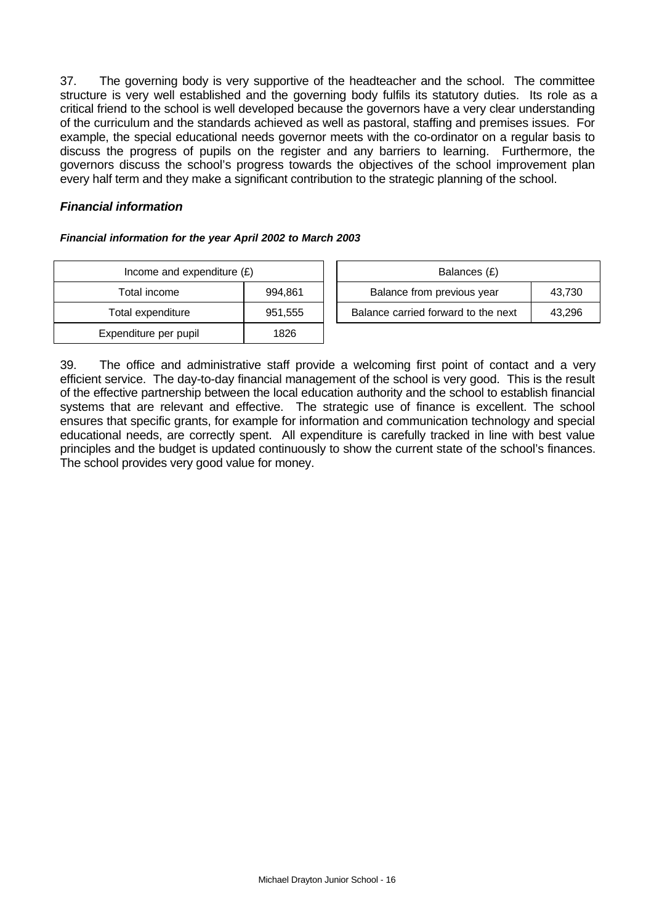37. The governing body is very supportive of the headteacher and the school. The committee structure is very well established and the governing body fulfils its statutory duties. Its role as a critical friend to the school is well developed because the governors have a very clear understanding of the curriculum and the standards achieved as well as pastoral, staffing and premises issues. For example, the special educational needs governor meets with the co-ordinator on a regular basis to discuss the progress of pupils on the register and any barriers to learning. Furthermore, the governors discuss the school's progress towards the objectives of the school improvement plan every half term and they make a significant contribution to the strategic planning of the school.

### *Financial information*

#### *Financial information for the year April 2002 to March 2003*

| Income and expenditure $(E)$ | Balances (£) |                                  |
|------------------------------|--------------|----------------------------------|
| Total income                 | 994,861      | Balance from previous year       |
| Total expenditure            | 951,555      | Balance carried forward to the i |
| Expenditure per pupil        | 1826         |                                  |

| Income and expenditure $(E)$ |         | Balances (£)                        |        |
|------------------------------|---------|-------------------------------------|--------|
| Total income                 | 994.861 | Balance from previous year          | 43.730 |
| Total expenditure            | 951,555 | Balance carried forward to the next | 43.296 |

39. The office and administrative staff provide a welcoming first point of contact and a very efficient service. The day-to-day financial management of the school is very good. This is the result of the effective partnership between the local education authority and the school to establish financial systems that are relevant and effective. The strategic use of finance is excellent. The school ensures that specific grants, for example for information and communication technology and special educational needs, are correctly spent. All expenditure is carefully tracked in line with best value principles and the budget is updated continuously to show the current state of the school's finances. The school provides very good value for money.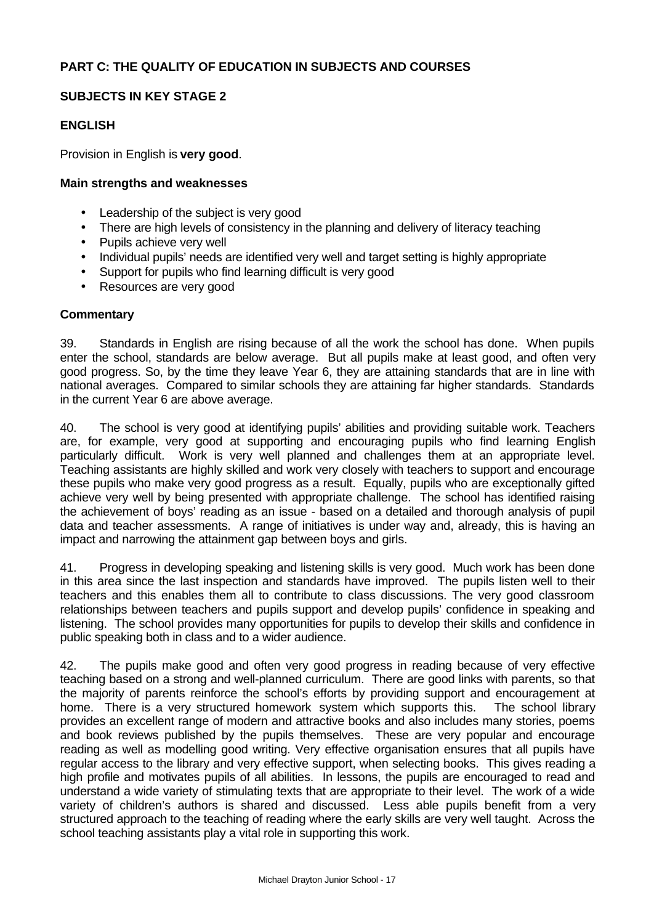### **SUBJECTS IN KEY STAGE 2**

### **ENGLISH**

Provision in English is **very good**.

#### **Main strengths and weaknesses**

- Leadership of the subject is very good
- There are high levels of consistency in the planning and delivery of literacy teaching
- Pupils achieve very well
- Individual pupils' needs are identified very well and target setting is highly appropriate
- Support for pupils who find learning difficult is very good
- Resources are very good

#### **Commentary**

39. Standards in English are rising because of all the work the school has done. When pupils enter the school, standards are below average. But all pupils make at least good, and often very good progress. So, by the time they leave Year 6, they are attaining standards that are in line with national averages. Compared to similar schools they are attaining far higher standards. Standards in the current Year 6 are above average.

40. The school is very good at identifying pupils' abilities and providing suitable work. Teachers are, for example, very good at supporting and encouraging pupils who find learning English particularly difficult. Work is very well planned and challenges them at an appropriate level. Teaching assistants are highly skilled and work very closely with teachers to support and encourage these pupils who make very good progress as a result. Equally, pupils who are exceptionally gifted achieve very well by being presented with appropriate challenge. The school has identified raising the achievement of boys' reading as an issue - based on a detailed and thorough analysis of pupil data and teacher assessments. A range of initiatives is under way and, already, this is having an impact and narrowing the attainment gap between boys and girls.

41. Progress in developing speaking and listening skills is very good. Much work has been done in this area since the last inspection and standards have improved. The pupils listen well to their teachers and this enables them all to contribute to class discussions. The very good classroom relationships between teachers and pupils support and develop pupils' confidence in speaking and listening. The school provides many opportunities for pupils to develop their skills and confidence in public speaking both in class and to a wider audience.

42. The pupils make good and often very good progress in reading because of very effective teaching based on a strong and well-planned curriculum. There are good links with parents, so that the majority of parents reinforce the school's efforts by providing support and encouragement at home. There is a very structured homework system which supports this. The school library provides an excellent range of modern and attractive books and also includes many stories, poems and book reviews published by the pupils themselves. These are very popular and encourage reading as well as modelling good writing. Very effective organisation ensures that all pupils have regular access to the library and very effective support, when selecting books. This gives reading a high profile and motivates pupils of all abilities. In lessons, the pupils are encouraged to read and understand a wide variety of stimulating texts that are appropriate to their level. The work of a wide variety of children's authors is shared and discussed. Less able pupils benefit from a very structured approach to the teaching of reading where the early skills are very well taught. Across the school teaching assistants play a vital role in supporting this work.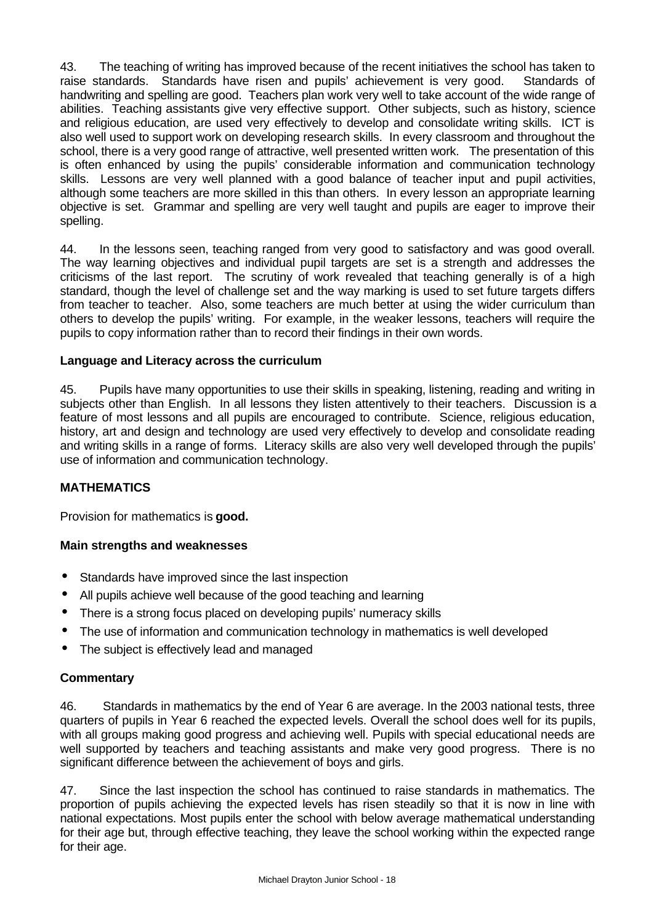43. The teaching of writing has improved because of the recent initiatives the school has taken to raise standards. Standards have risen and pupils' achievement is very good. Standards of handwriting and spelling are good. Teachers plan work very well to take account of the wide range of abilities. Teaching assistants give very effective support. Other subjects, such as history, science and religious education, are used very effectively to develop and consolidate writing skills. ICT is also well used to support work on developing research skills. In every classroom and throughout the school, there is a very good range of attractive, well presented written work. The presentation of this is often enhanced by using the pupils' considerable information and communication technology skills. Lessons are very well planned with a good balance of teacher input and pupil activities, although some teachers are more skilled in this than others. In every lesson an appropriate learning objective is set. Grammar and spelling are very well taught and pupils are eager to improve their spelling.

44. In the lessons seen, teaching ranged from very good to satisfactory and was good overall. The way learning objectives and individual pupil targets are set is a strength and addresses the criticisms of the last report. The scrutiny of work revealed that teaching generally is of a high standard, though the level of challenge set and the way marking is used to set future targets differs from teacher to teacher. Also, some teachers are much better at using the wider curriculum than others to develop the pupils' writing. For example, in the weaker lessons, teachers will require the pupils to copy information rather than to record their findings in their own words.

## **Language and Literacy across the curriculum**

45. Pupils have many opportunities to use their skills in speaking, listening, reading and writing in subjects other than English. In all lessons they listen attentively to their teachers. Discussion is a feature of most lessons and all pupils are encouraged to contribute. Science, religious education, history, art and design and technology are used very effectively to develop and consolidate reading and writing skills in a range of forms. Literacy skills are also very well developed through the pupils' use of information and communication technology.

### **MATHEMATICS**

Provision for mathematics is **good.**

### **Main strengths and weaknesses**

- Standards have improved since the last inspection
- All pupils achieve well because of the good teaching and learning
- There is a strong focus placed on developing pupils' numeracy skills
- The use of information and communication technology in mathematics is well developed
- The subject is effectively lead and managed

### **Commentary**

46. Standards in mathematics by the end of Year 6 are average. In the 2003 national tests, three quarters of pupils in Year 6 reached the expected levels. Overall the school does well for its pupils, with all groups making good progress and achieving well. Pupils with special educational needs are well supported by teachers and teaching assistants and make very good progress. There is no significant difference between the achievement of boys and girls.

47. Since the last inspection the school has continued to raise standards in mathematics. The proportion of pupils achieving the expected levels has risen steadily so that it is now in line with national expectations. Most pupils enter the school with below average mathematical understanding for their age but, through effective teaching, they leave the school working within the expected range for their age.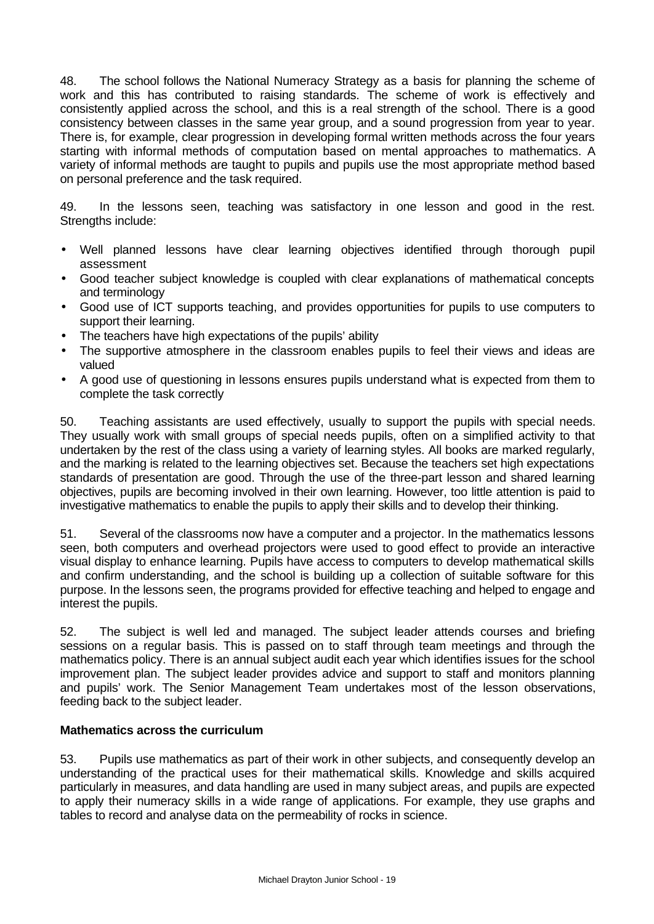48. The school follows the National Numeracy Strategy as a basis for planning the scheme of work and this has contributed to raising standards. The scheme of work is effectively and consistently applied across the school, and this is a real strength of the school. There is a good consistency between classes in the same year group, and a sound progression from year to year. There is, for example, clear progression in developing formal written methods across the four years starting with informal methods of computation based on mental approaches to mathematics. A variety of informal methods are taught to pupils and pupils use the most appropriate method based on personal preference and the task required.

49. In the lessons seen, teaching was satisfactory in one lesson and good in the rest. Strengths include:

- Well planned lessons have clear learning objectives identified through thorough pupil assessment
- Good teacher subject knowledge is coupled with clear explanations of mathematical concepts and terminology
- Good use of ICT supports teaching, and provides opportunities for pupils to use computers to support their learning.
- The teachers have high expectations of the pupils' ability
- The supportive atmosphere in the classroom enables pupils to feel their views and ideas are valued
- A good use of questioning in lessons ensures pupils understand what is expected from them to complete the task correctly

50. Teaching assistants are used effectively, usually to support the pupils with special needs. They usually work with small groups of special needs pupils, often on a simplified activity to that undertaken by the rest of the class using a variety of learning styles. All books are marked regularly, and the marking is related to the learning objectives set. Because the teachers set high expectations standards of presentation are good. Through the use of the three-part lesson and shared learning objectives, pupils are becoming involved in their own learning. However, too little attention is paid to investigative mathematics to enable the pupils to apply their skills and to develop their thinking.

51. Several of the classrooms now have a computer and a projector. In the mathematics lessons seen, both computers and overhead projectors were used to good effect to provide an interactive visual display to enhance learning. Pupils have access to computers to develop mathematical skills and confirm understanding, and the school is building up a collection of suitable software for this purpose. In the lessons seen, the programs provided for effective teaching and helped to engage and interest the pupils.

52. The subject is well led and managed. The subject leader attends courses and briefing sessions on a regular basis. This is passed on to staff through team meetings and through the mathematics policy. There is an annual subject audit each year which identifies issues for the school improvement plan. The subject leader provides advice and support to staff and monitors planning and pupils' work. The Senior Management Team undertakes most of the lesson observations, feeding back to the subject leader.

### **Mathematics across the curriculum**

53. Pupils use mathematics as part of their work in other subjects, and consequently develop an understanding of the practical uses for their mathematical skills. Knowledge and skills acquired particularly in measures, and data handling are used in many subject areas, and pupils are expected to apply their numeracy skills in a wide range of applications. For example, they use graphs and tables to record and analyse data on the permeability of rocks in science.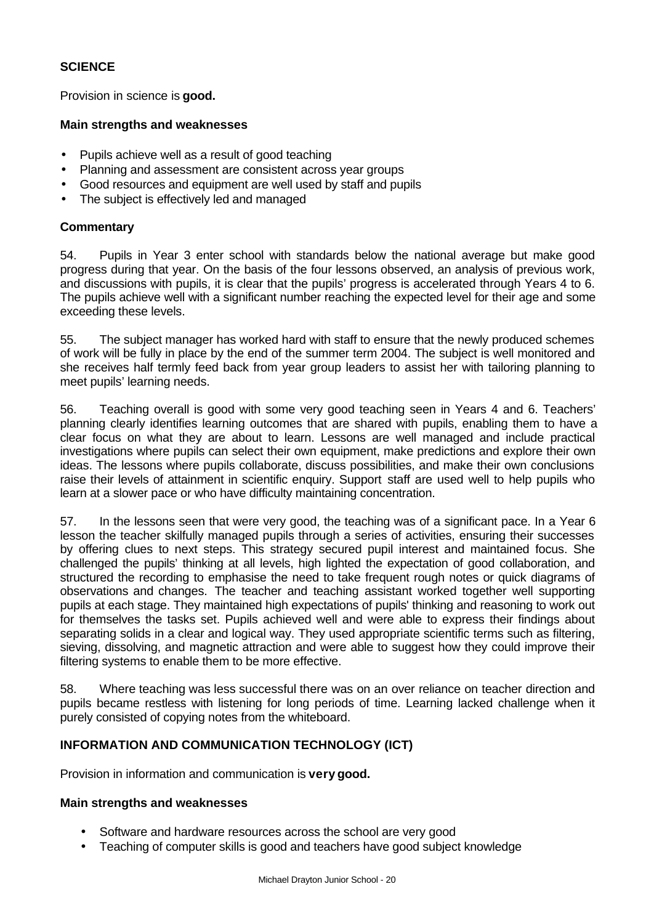### **SCIENCE**

Provision in science is **good.**

#### **Main strengths and weaknesses**

- Pupils achieve well as a result of good teaching
- Planning and assessment are consistent across year groups
- Good resources and equipment are well used by staff and pupils
- The subject is effectively led and managed

### **Commentary**

54. Pupils in Year 3 enter school with standards below the national average but make good progress during that year. On the basis of the four lessons observed, an analysis of previous work, and discussions with pupils, it is clear that the pupils' progress is accelerated through Years 4 to 6. The pupils achieve well with a significant number reaching the expected level for their age and some exceeding these levels.

55. The subject manager has worked hard with staff to ensure that the newly produced schemes of work will be fully in place by the end of the summer term 2004. The subject is well monitored and she receives half termly feed back from year group leaders to assist her with tailoring planning to meet pupils' learning needs.

56. Teaching overall is good with some very good teaching seen in Years 4 and 6. Teachers' planning clearly identifies learning outcomes that are shared with pupils, enabling them to have a clear focus on what they are about to learn. Lessons are well managed and include practical investigations where pupils can select their own equipment, make predictions and explore their own ideas. The lessons where pupils collaborate, discuss possibilities, and make their own conclusions raise their levels of attainment in scientific enquiry. Support staff are used well to help pupils who learn at a slower pace or who have difficulty maintaining concentration.

57. In the lessons seen that were very good, the teaching was of a significant pace. In a Year 6 lesson the teacher skilfully managed pupils through a series of activities, ensuring their successes by offering clues to next steps. This strategy secured pupil interest and maintained focus. She challenged the pupils' thinking at all levels, high lighted the expectation of good collaboration, and structured the recording to emphasise the need to take frequent rough notes or quick diagrams of observations and changes. The teacher and teaching assistant worked together well supporting pupils at each stage. They maintained high expectations of pupils' thinking and reasoning to work out for themselves the tasks set. Pupils achieved well and were able to express their findings about separating solids in a clear and logical way. They used appropriate scientific terms such as filtering, sieving, dissolving, and magnetic attraction and were able to suggest how they could improve their filtering systems to enable them to be more effective.

58. Where teaching was less successful there was on an over reliance on teacher direction and pupils became restless with listening for long periods of time. Learning lacked challenge when it purely consisted of copying notes from the whiteboard.

### **INFORMATION AND COMMUNICATION TECHNOLOGY (ICT)**

Provision in information and communication is **very good.**

### **Main strengths and weaknesses**

- Software and hardware resources across the school are very good
- Teaching of computer skills is good and teachers have good subject knowledge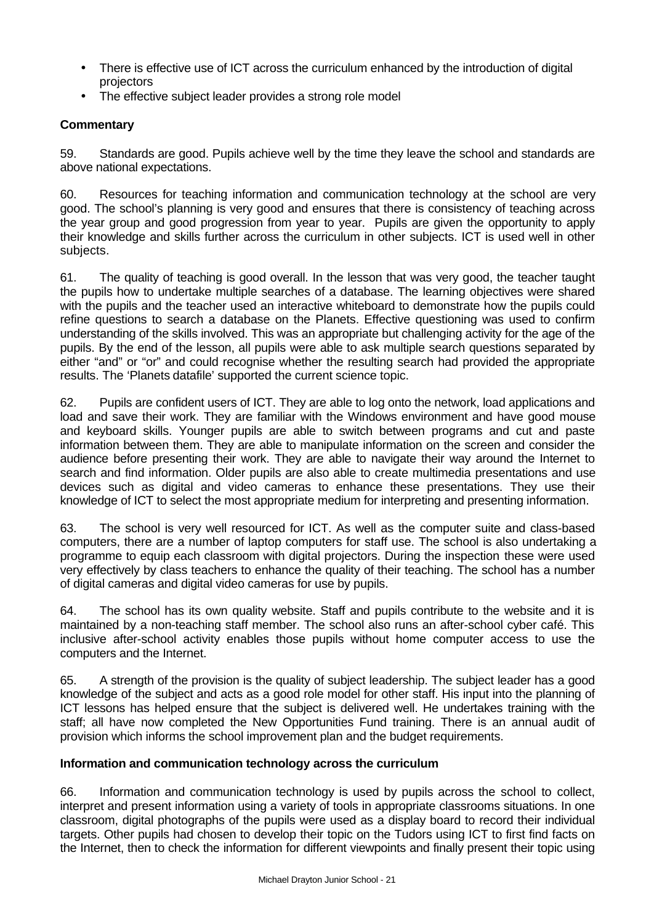- There is effective use of ICT across the curriculum enhanced by the introduction of digital projectors
- The effective subject leader provides a strong role model

## **Commentary**

59. Standards are good. Pupils achieve well by the time they leave the school and standards are above national expectations.

60. Resources for teaching information and communication technology at the school are very good. The school's planning is very good and ensures that there is consistency of teaching across the year group and good progression from year to year. Pupils are given the opportunity to apply their knowledge and skills further across the curriculum in other subjects. ICT is used well in other subjects.

61. The quality of teaching is good overall. In the lesson that was very good, the teacher taught the pupils how to undertake multiple searches of a database. The learning objectives were shared with the pupils and the teacher used an interactive whiteboard to demonstrate how the pupils could refine questions to search a database on the Planets. Effective questioning was used to confirm understanding of the skills involved. This was an appropriate but challenging activity for the age of the pupils. By the end of the lesson, all pupils were able to ask multiple search questions separated by either "and" or "or" and could recognise whether the resulting search had provided the appropriate results. The 'Planets datafile' supported the current science topic.

62. Pupils are confident users of ICT. They are able to log onto the network, load applications and load and save their work. They are familiar with the Windows environment and have good mouse and keyboard skills. Younger pupils are able to switch between programs and cut and paste information between them. They are able to manipulate information on the screen and consider the audience before presenting their work. They are able to navigate their way around the Internet to search and find information. Older pupils are also able to create multimedia presentations and use devices such as digital and video cameras to enhance these presentations. They use their knowledge of ICT to select the most appropriate medium for interpreting and presenting information.

63. The school is very well resourced for ICT. As well as the computer suite and class-based computers, there are a number of laptop computers for staff use. The school is also undertaking a programme to equip each classroom with digital projectors. During the inspection these were used very effectively by class teachers to enhance the quality of their teaching. The school has a number of digital cameras and digital video cameras for use by pupils.

64. The school has its own quality website. Staff and pupils contribute to the website and it is maintained by a non-teaching staff member. The school also runs an after-school cyber café. This inclusive after-school activity enables those pupils without home computer access to use the computers and the Internet.

65. A strength of the provision is the quality of subject leadership. The subject leader has a good knowledge of the subject and acts as a good role model for other staff. His input into the planning of ICT lessons has helped ensure that the subject is delivered well. He undertakes training with the staff; all have now completed the New Opportunities Fund training. There is an annual audit of provision which informs the school improvement plan and the budget requirements.

### **Information and communication technology across the curriculum**

66. Information and communication technology is used by pupils across the school to collect, interpret and present information using a variety of tools in appropriate classrooms situations. In one classroom, digital photographs of the pupils were used as a display board to record their individual targets. Other pupils had chosen to develop their topic on the Tudors using ICT to first find facts on the Internet, then to check the information for different viewpoints and finally present their topic using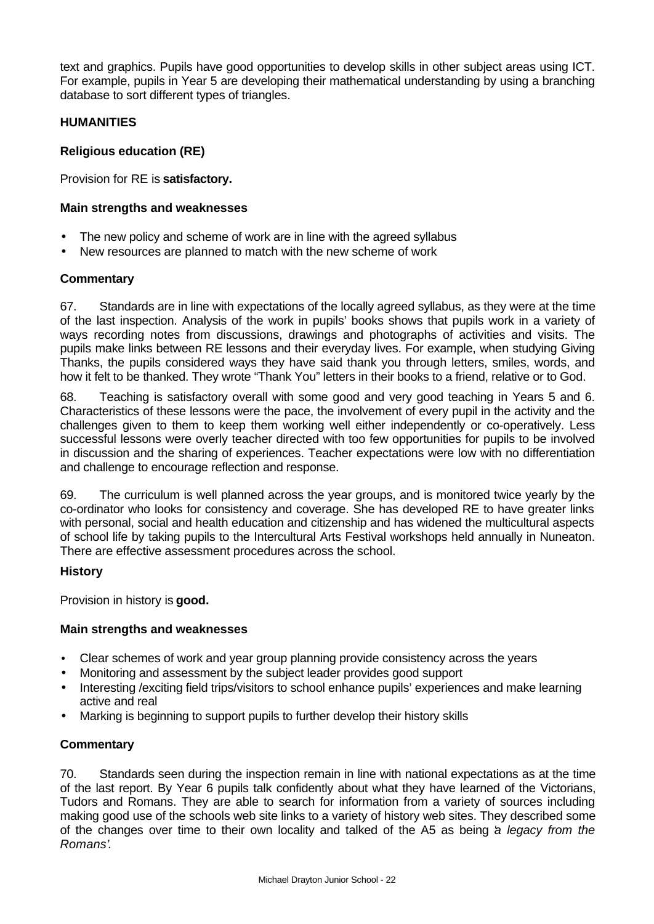text and graphics. Pupils have good opportunities to develop skills in other subject areas using ICT. For example, pupils in Year 5 are developing their mathematical understanding by using a branching database to sort different types of triangles.

### **HUMANITIES**

### **Religious education (RE)**

Provision for RE is **satisfactory.**

### **Main strengths and weaknesses**

- The new policy and scheme of work are in line with the agreed syllabus
- New resources are planned to match with the new scheme of work

### **Commentary**

67. Standards are in line with expectations of the locally agreed syllabus, as they were at the time of the last inspection. Analysis of the work in pupils' books shows that pupils work in a variety of ways recording notes from discussions, drawings and photographs of activities and visits. The pupils make links between RE lessons and their everyday lives. For example, when studying Giving Thanks, the pupils considered ways they have said thank you through letters, smiles, words, and how it felt to be thanked. They wrote "Thank You" letters in their books to a friend, relative or to God.

68. Teaching is satisfactory overall with some good and very good teaching in Years 5 and 6. Characteristics of these lessons were the pace, the involvement of every pupil in the activity and the challenges given to them to keep them working well either independently or co-operatively. Less successful lessons were overly teacher directed with too few opportunities for pupils to be involved in discussion and the sharing of experiences. Teacher expectations were low with no differentiation and challenge to encourage reflection and response.

69. The curriculum is well planned across the year groups, and is monitored twice yearly by the co-ordinator who looks for consistency and coverage. She has developed RE to have greater links with personal, social and health education and citizenship and has widened the multicultural aspects of school life by taking pupils to the Intercultural Arts Festival workshops held annually in Nuneaton. There are effective assessment procedures across the school.

## **History**

Provision in history is **good.**

## **Main strengths and weaknesses**

- Clear schemes of work and year group planning provide consistency across the years
- Monitoring and assessment by the subject leader provides good support
- Interesting /exciting field trips/visitors to school enhance pupils' experiences and make learning active and real
- Marking is beginning to support pupils to further develop their history skills

## **Commentary**

70. Standards seen during the inspection remain in line with national expectations as at the time of the last report. By Year 6 pupils talk confidently about what they have learned of the Victorians, Tudors and Romans. They are able to search for information from a variety of sources including making good use of the schools web site links to a variety of history web sites. They described some of the changes over time to their own locality and talked of the A5 as being '*a legacy from the Romans'*.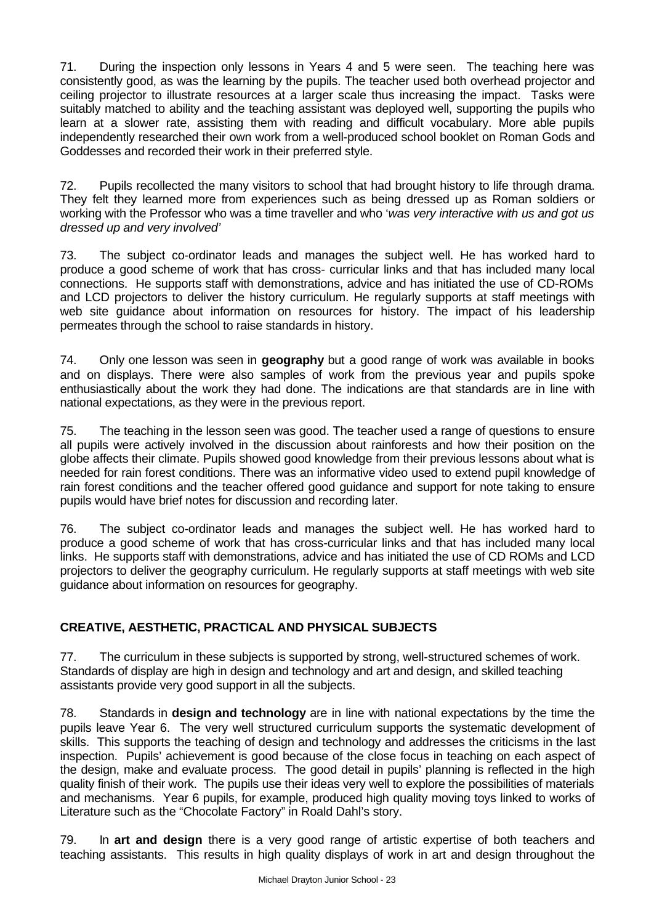71. During the inspection only lessons in Years 4 and 5 were seen. The teaching here was consistently good, as was the learning by the pupils. The teacher used both overhead projector and ceiling projector to illustrate resources at a larger scale thus increasing the impact. Tasks were suitably matched to ability and the teaching assistant was deployed well, supporting the pupils who learn at a slower rate, assisting them with reading and difficult vocabulary. More able pupils independently researched their own work from a well-produced school booklet on Roman Gods and Goddesses and recorded their work in their preferred style.

72. Pupils recollected the many visitors to school that had brought history to life through drama. They felt they learned more from experiences such as being dressed up as Roman soldiers or working with the Professor who was a time traveller and who '*was very interactive with us and got us dressed up and very involved'*

73. The subject co-ordinator leads and manages the subject well. He has worked hard to produce a good scheme of work that has cross- curricular links and that has included many local connections. He supports staff with demonstrations, advice and has initiated the use of CD-ROMs and LCD projectors to deliver the history curriculum. He regularly supports at staff meetings with web site guidance about information on resources for history. The impact of his leadership permeates through the school to raise standards in history.

74. Only one lesson was seen in **geography** but a good range of work was available in books and on displays. There were also samples of work from the previous year and pupils spoke enthusiastically about the work they had done. The indications are that standards are in line with national expectations, as they were in the previous report.

75. The teaching in the lesson seen was good. The teacher used a range of questions to ensure all pupils were actively involved in the discussion about rainforests and how their position on the globe affects their climate. Pupils showed good knowledge from their previous lessons about what is needed for rain forest conditions. There was an informative video used to extend pupil knowledge of rain forest conditions and the teacher offered good guidance and support for note taking to ensure pupils would have brief notes for discussion and recording later.

76. The subject co-ordinator leads and manages the subject well. He has worked hard to produce a good scheme of work that has cross-curricular links and that has included many local links. He supports staff with demonstrations, advice and has initiated the use of CD ROMs and LCD projectors to deliver the geography curriculum. He regularly supports at staff meetings with web site guidance about information on resources for geography.

# **CREATIVE, AESTHETIC, PRACTICAL AND PHYSICAL SUBJECTS**

77. The curriculum in these subjects is supported by strong, well-structured schemes of work. Standards of display are high in design and technology and art and design, and skilled teaching assistants provide very good support in all the subjects.

78. Standards in **design and technology** are in line with national expectations by the time the pupils leave Year 6. The very well structured curriculum supports the systematic development of skills. This supports the teaching of design and technology and addresses the criticisms in the last inspection. Pupils' achievement is good because of the close focus in teaching on each aspect of the design, make and evaluate process. The good detail in pupils' planning is reflected in the high quality finish of their work. The pupils use their ideas very well to explore the possibilities of materials and mechanisms. Year 6 pupils, for example, produced high quality moving toys linked to works of Literature such as the "Chocolate Factory" in Roald Dahl's story.

79. In **art and design** there is a very good range of artistic expertise of both teachers and teaching assistants. This results in high quality displays of work in art and design throughout the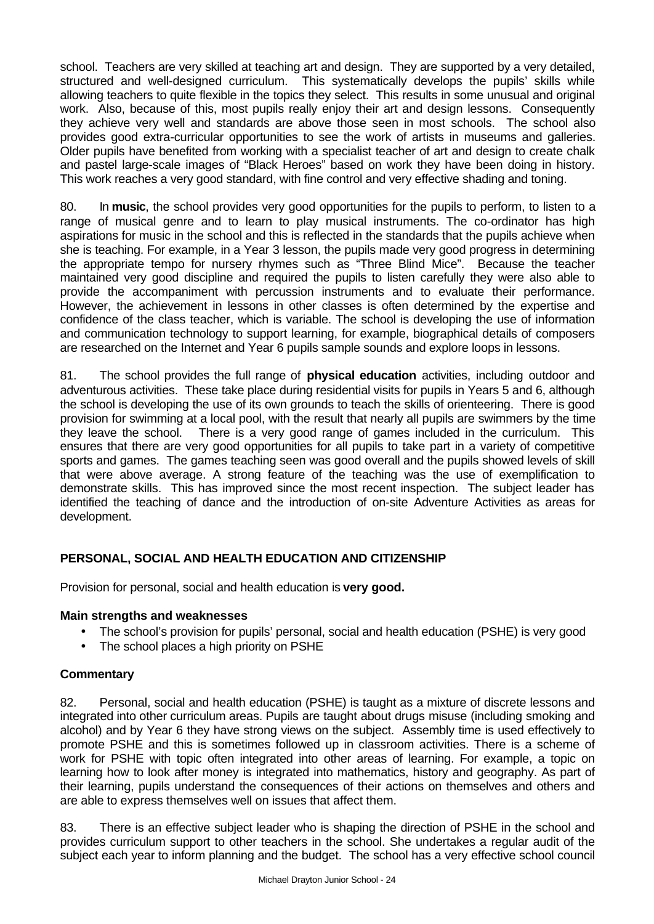school. Teachers are very skilled at teaching art and design. They are supported by a very detailed, structured and well-designed curriculum. This systematically develops the pupils' skills while allowing teachers to quite flexible in the topics they select. This results in some unusual and original work. Also, because of this, most pupils really enjoy their art and design lessons. Consequently they achieve very well and standards are above those seen in most schools. The school also provides good extra-curricular opportunities to see the work of artists in museums and galleries. Older pupils have benefited from working with a specialist teacher of art and design to create chalk and pastel large-scale images of "Black Heroes" based on work they have been doing in history. This work reaches a very good standard, with fine control and very effective shading and toning.

80. In **music**, the school provides very good opportunities for the pupils to perform, to listen to a range of musical genre and to learn to play musical instruments. The co-ordinator has high aspirations for music in the school and this is reflected in the standards that the pupils achieve when she is teaching. For example, in a Year 3 lesson, the pupils made very good progress in determining the appropriate tempo for nursery rhymes such as "Three Blind Mice". Because the teacher maintained very good discipline and required the pupils to listen carefully they were also able to provide the accompaniment with percussion instruments and to evaluate their performance. However, the achievement in lessons in other classes is often determined by the expertise and confidence of the class teacher, which is variable. The school is developing the use of information and communication technology to support learning, for example, biographical details of composers are researched on the Internet and Year 6 pupils sample sounds and explore loops in lessons.

81. The school provides the full range of **physical education** activities, including outdoor and adventurous activities. These take place during residential visits for pupils in Years 5 and 6, although the school is developing the use of its own grounds to teach the skills of orienteering. There is good provision for swimming at a local pool, with the result that nearly all pupils are swimmers by the time they leave the school. There is a very good range of games included in the curriculum. This ensures that there are very good opportunities for all pupils to take part in a variety of competitive sports and games. The games teaching seen was good overall and the pupils showed levels of skill that were above average. A strong feature of the teaching was the use of exemplification to demonstrate skills. This has improved since the most recent inspection. The subject leader has identified the teaching of dance and the introduction of on-site Adventure Activities as areas for development.

## **PERSONAL, SOCIAL AND HEALTH EDUCATION AND CITIZENSHIP**

Provision for personal, social and health education is **very good.**

### **Main strengths and weaknesses**

- The school's provision for pupils' personal, social and health education (PSHE) is very good
- The school places a high priority on PSHE

#### **Commentary**

82. Personal, social and health education (PSHE) is taught as a mixture of discrete lessons and integrated into other curriculum areas. Pupils are taught about drugs misuse (including smoking and alcohol) and by Year 6 they have strong views on the subject. Assembly time is used effectively to promote PSHE and this is sometimes followed up in classroom activities. There is a scheme of work for PSHE with topic often integrated into other areas of learning. For example, a topic on learning how to look after money is integrated into mathematics, history and geography. As part of their learning, pupils understand the consequences of their actions on themselves and others and are able to express themselves well on issues that affect them.

83. There is an effective subject leader who is shaping the direction of PSHE in the school and provides curriculum support to other teachers in the school. She undertakes a regular audit of the subject each year to inform planning and the budget. The school has a very effective school council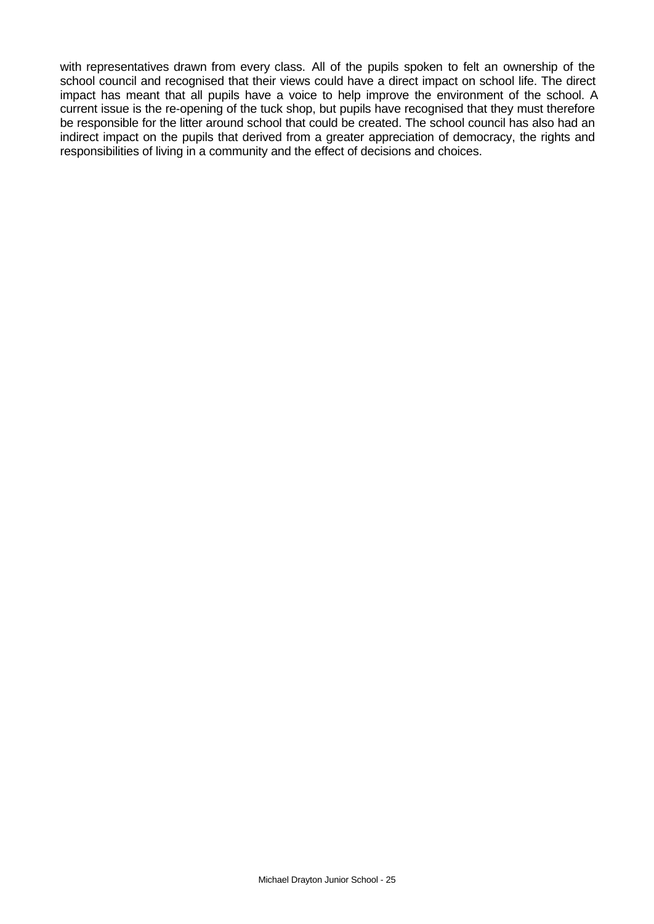with representatives drawn from every class. All of the pupils spoken to felt an ownership of the school council and recognised that their views could have a direct impact on school life. The direct impact has meant that all pupils have a voice to help improve the environment of the school. A current issue is the re-opening of the tuck shop, but pupils have recognised that they must therefore be responsible for the litter around school that could be created. The school council has also had an indirect impact on the pupils that derived from a greater appreciation of democracy, the rights and responsibilities of living in a community and the effect of decisions and choices.